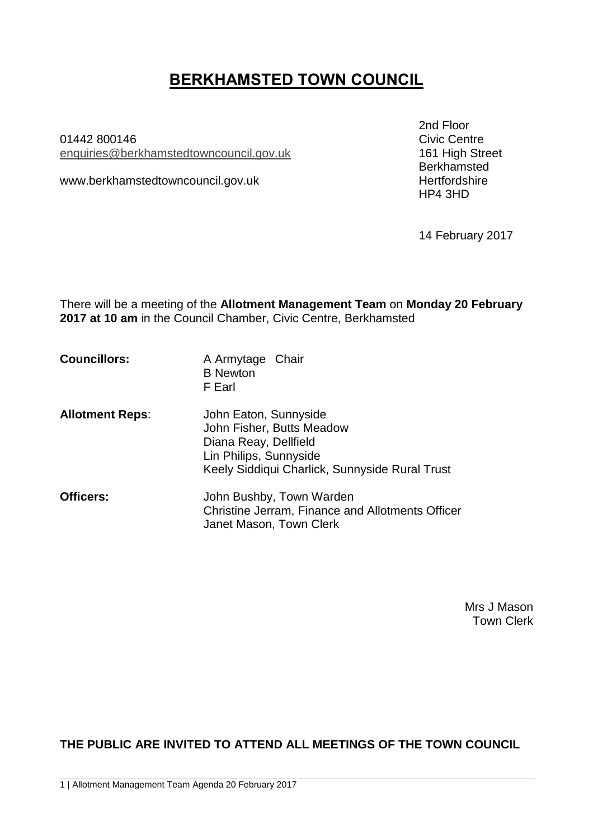# **BERKHAMSTED TOWN COUNCIL**

01442 800146 Civic Centre enquiries[@berkhamstedtowncouncil.gov.uk](mailto:berkhamsted.towncouncil@dacorum.gov.uk)

www.berkhamstedtowncouncil.gov.uk hertfordshire

2nd Floor Berkhamsted HP4 3HD

14 February 2017

There will be a meeting of the **Allotment Management Team** on **Monday 20 February 2017 at 10 am** in the Council Chamber, Civic Centre, Berkhamsted

| <b>Councillors:</b> | A Armytage Chair |  |
|---------------------|------------------|--|
|                     | <b>B</b> Newton  |  |
|                     | F Earl           |  |

- **Allotment Reps**: John Eaton, Sunnyside John Fisher, Butts Meadow Diana Reay, Dellfield Lin Philips, Sunnyside Keely Siddiqui Charlick, Sunnyside Rural Trust
- **Officers:** John Bushby, Town Warden Christine Jerram, Finance and Allotments Officer Janet Mason, Town Clerk

Mrs J Mason Town Clerk

**THE PUBLIC ARE INVITED TO ATTEND ALL MEETINGS OF THE TOWN COUNCIL**